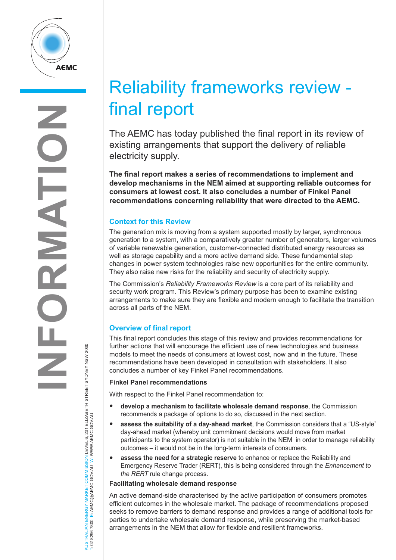

# AUSTRALIAN ENERGY MARKET COMMISSION LEVEL 6, 201 ELIZABETH STREET SYDNEY NSW 2000

W

W.AEMC.GOV.AU

T: 02 8296 7800 E: AEMC@AEMC.GOV.AU W: W

# Reliability frameworks review final report

The AEMC has today published the final report in its review of existing arrangements that support the delivery of reliable electricity supply.

**The final report makes a series of recommendations to implement and develop mechanisms in the NEM aimed at supporting reliable outcomes for consumers at lowest cost. It also concludes a number of Finkel Panel recommendations concerning reliability that were directed to the AEMC.**

# **Context for this Review**

The generation mix is moving from a system supported mostly by larger, synchronous generation to a system, with a comparatively greater number of generators, larger volumes of variable renewable generation, customer-connected distributed energy resources as well as storage capability and a more active demand side. These fundamental step changes in power system technologies raise new opportunities for the entire community. They also raise new risks for the reliability and security of electricity supply.

The Commission's *Reliability Frameworks Review* is a core part of its reliability and security work program. This Review's primary purpose has been to examine existing arrangements to make sure they are flexible and modern enough to facilitate the transition across all parts of the NEM.

# **Overview of final report**

This final report concludes this stage of this review and provides recommendations for further actions that will encourage the efficient use of new technologies and business models to meet the needs of consumers at lowest cost, now and in the future. These recommendations have been developed in consultation with stakeholders. It also concludes a number of key Finkel Panel recommendations.

# **Finkel Panel recommendations**

With respect to the Finkel Panel recommendation to:

- **develop <sup>a</sup> mechanism to facilitate wholesale demand response**, the Commission recommends a package of options to do so, discussed in the next section.
- **assess the suitability of <sup>a</sup> day-ahead market**, the Commission considers that <sup>a</sup> "US-style" day-ahead market (whereby unit commitment decisions would move from market participants to the system operator) is not suitable in the NEM in order to manage reliability outcomes – it would not be in the long-term interests of consumers.
- **assess the need for <sup>a</sup> strategic reserve** to enhance or replace the Reliability and Emergency Reserve Trader (RERT), this is being considered through the *Enhancement to the RERT* rule change process.

# **Facilitating wholesale demand response**

An active demand-side characterised by the active participation of consumers promotes efficient outcomes in the wholesale market. The package of recommendations proposed seeks to remove barriers to demand response and provides a range of additional tools for parties to undertake wholesale demand response, while preserving the market-based arrangements in the NEM that allow for flexible and resilient frameworks.